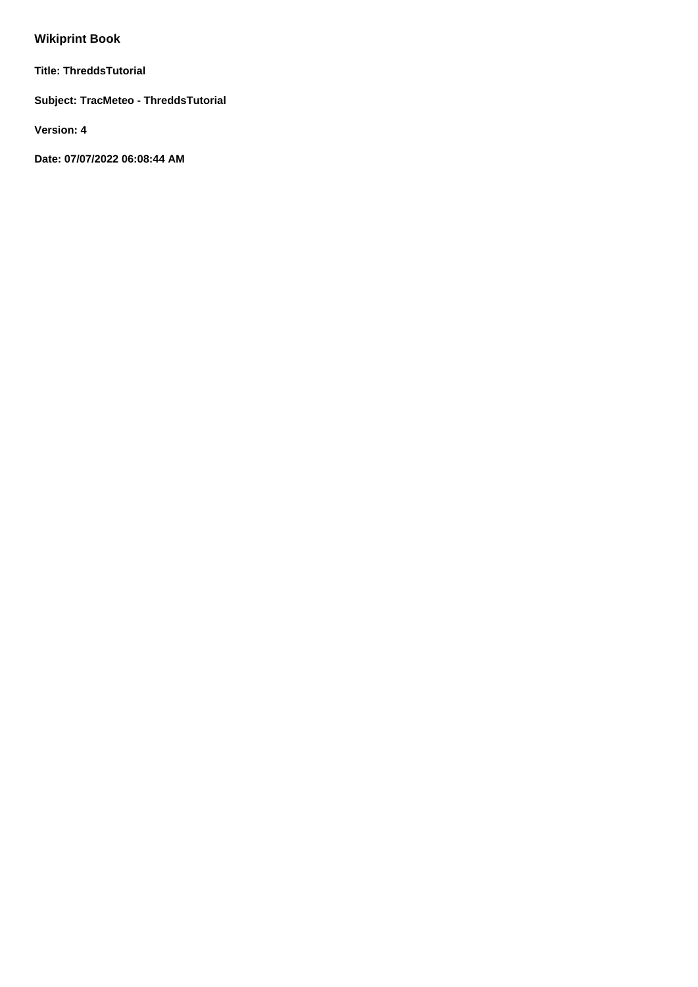# **Wikiprint Book**

**Title: ThreddsTutorial**

**Subject: TracMeteo - ThreddsTutorial**

**Version: 4**

**Date: 07/07/2022 06:08:44 AM**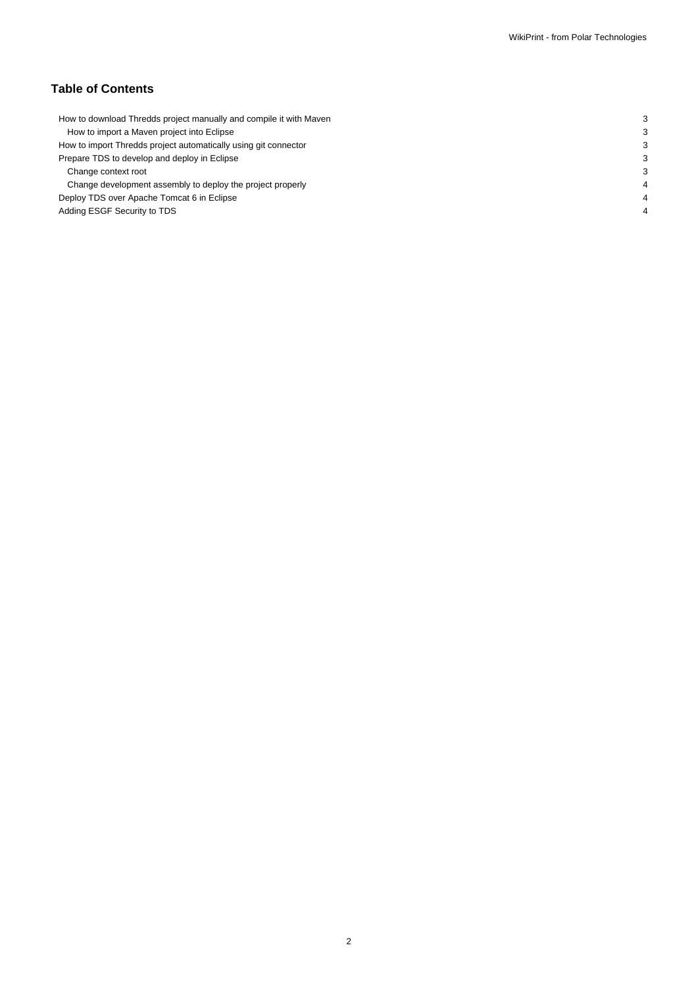# **Table of Contents**

| How to download Thredds project manually and compile it with Maven |  |
|--------------------------------------------------------------------|--|
| How to import a Maven project into Eclipse                         |  |
| How to import Thredds project automatically using git connector    |  |
| Prepare TDS to develop and deploy in Eclipse                       |  |
| Change context root                                                |  |
| Change development assembly to deploy the project properly         |  |
| Deploy TDS over Apache Tomcat 6 in Eclipse                         |  |
| Adding ESGF Security to TDS                                        |  |
|                                                                    |  |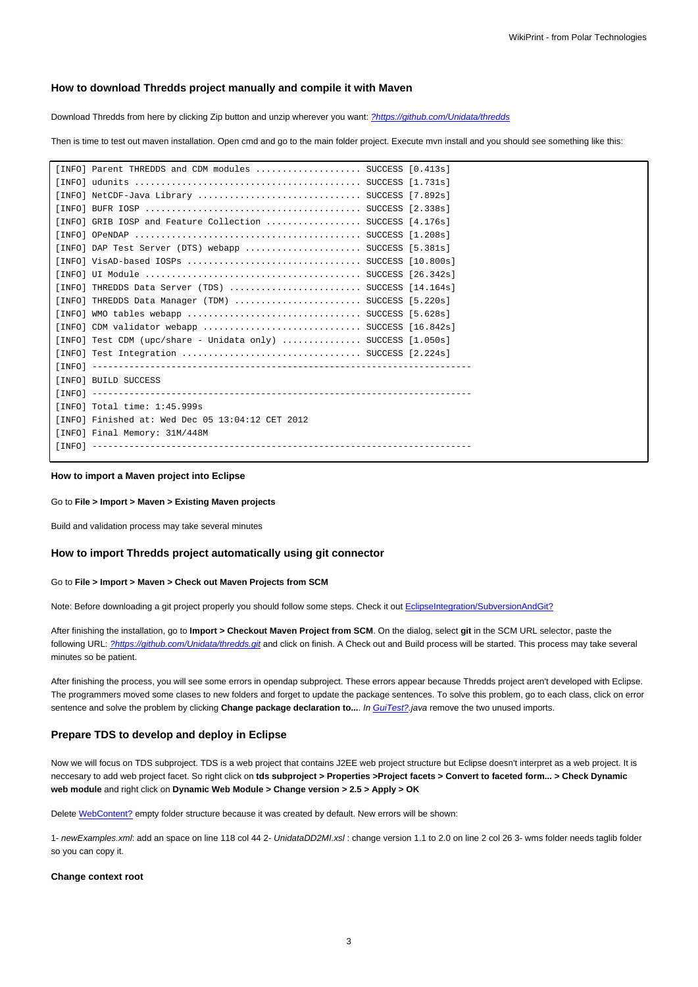### **How to download Thredds project manually and compile it with Maven**

Download Thredds from here by clicking Zip button and unzip wherever you want: [?https://github.com/Unidata/thredds](https://github.com/Unidata/thredds)

Then is time to test out maven installation. Open cmd and go to the main folder project. Execute mvn install and you should see something like this:

| [INFO] Parent THREDDS and CDM modules  SUCCESS [0.413s]        |  |
|----------------------------------------------------------------|--|
|                                                                |  |
| [INFO] NetCDF-Java Library  SUCCESS [7.892s]                   |  |
|                                                                |  |
| [INFO] GRIB IOSP and Feature Collection  SUCCESS [4.176s]      |  |
|                                                                |  |
| [INFO] DAP Test Server (DTS) webapp  SUCCESS [5.381s]          |  |
|                                                                |  |
|                                                                |  |
| [INFO] THREDDS Data Server (TDS)  SUCCESS [14.164s]            |  |
| [INFO] THREDDS Data Manager (TDM)  SUCCESS [5.220s]            |  |
|                                                                |  |
| [INFO] CDM validator webapp  SUCCESS [16.842s]                 |  |
| [INFO] Test CDM (upc/share - Unidata only)  SUCCESS $[1.050s]$ |  |
| [INFO] Test Integration  SUCCESS [2.224s]                      |  |
|                                                                |  |
| [INFO] BUILD SUCCESS                                           |  |
|                                                                |  |
| [INFO] Total time: 1:45.999s                                   |  |
| [INFO] Finished at: Wed Dec 05 13:04:12 CET 2012               |  |
| [INFO] Final Memory: 31M/448M                                  |  |
|                                                                |  |
|                                                                |  |

#### **How to import a Maven project into Eclipse**

#### Go to **File > Import > Maven > Existing Maven projects**

Build and validation process may take several minutes

#### **How to import Thredds project automatically using git connector**

#### Go to **File > Import > Maven > Check out Maven Projects from SCM**

Note: Before downloading a git project properly you should follow some steps. Check it out EclipseIntegration/SubversionAndGit?

After finishing the installation, go to **Import > Checkout Maven Project from SCM**. On the dialog, select **git** in the SCM URL selector, paste the following URL: [?https://github.com/Unidata/thredds.git](https://github.com/Unidata/thredds.git) and click on finish. A Check out and Build process will be started. This process may take several minutes so be patient.

After finishing the process, you will see some errors in opendap subproject. These errors appear because Thredds project aren't developed with Eclipse. The programmers moved some clases to new folders and forget to update the package sentences. To solve this problem, go to each class, click on error sentence and solve the problem by clicking Change package declaration to.... In GuiTest?.java remove the two unused imports.

#### **Prepare TDS to develop and deploy in Eclipse**

Now we will focus on TDS subproject. TDS is a web project that contains J2EE web project structure but Eclipse doesn't interpret as a web project. It is neccesary to add web project facet. So right click on **tds subproject > Properties >Project facets > Convert to faceted form... > Check Dynamic web module** and right click on **Dynamic Web Module > Change version > 2.5 > Apply > OK**

Delete WebContent? empty folder structure because it was created by default. New errors will be shown:

1- newExamples.xml: add an space on line 118 col 44 2- UnidataDD2MI.xsl: change version 1.1 to 2.0 on line 2 col 26 3- wms folder needs taglib folder so you can copy it.

#### **Change context root**